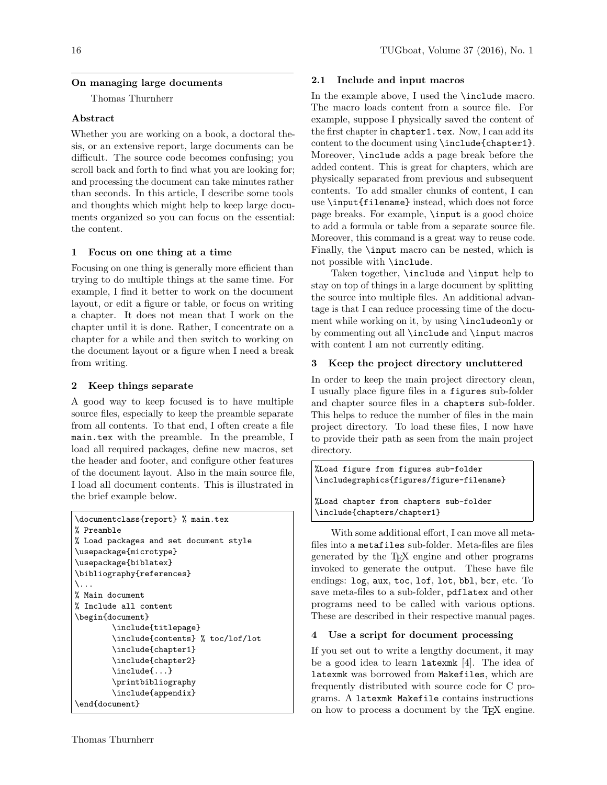## On managing large documents

Thomas Thurnherr

# Abstract

Whether you are working on a book, a doctoral thesis, or an extensive report, large documents can be difficult. The source code becomes confusing; you scroll back and forth to find what you are looking for; and processing the document can take minutes rather than seconds. In this article, I describe some tools and thoughts which might help to keep large documents organized so you can focus on the essential: the content.

# 1 Focus on one thing at a time

Focusing on one thing is generally more efficient than trying to do multiple things at the same time. For example, I find it better to work on the document layout, or edit a figure or table, or focus on writing a chapter. It does not mean that I work on the chapter until it is done. Rather, I concentrate on a chapter for a while and then switch to working on the document layout or a figure when I need a break from writing.

# 2 Keep things separate

A good way to keep focused is to have multiple source files, especially to keep the preamble separate from all contents. To that end, I often create a file main.tex with the preamble. In the preamble, I load all required packages, define new macros, set the header and footer, and configure other features of the document layout. Also in the main source file, I load all document contents. This is illustrated in the brief example below.

```
\documentclass{report} % main.tex
% Preamble
% Load packages and set document style
\usepackage{microtype}
\usepackage{biblatex}
\bibliography{references}
\lambda...
% Main document
% Include all content
\begin{document}
        \include{titlepage}
        \include{contents} % toc/lof/lot
        \include{chapter1}
        \include{chapter2}
        \include{...}
        \printbibliography
        \include{appendix}
\end{document}
```
# 2.1 Include and input macros

In the example above, I used the **\include** macro. The macro loads content from a source file. For example, suppose I physically saved the content of the first chapter in chapter1.tex. Now, I can add its content to the document using \include{chapter1}. Moreover, \include adds a page break before the added content. This is great for chapters, which are physically separated from previous and subsequent contents. To add smaller chunks of content, I can use \input{filename} instead, which does not force page breaks. For example, \input is a good choice to add a formula or table from a separate source file. Moreover, this command is a great way to reuse code. Finally, the \input macro can be nested, which is not possible with \include.

Taken together, \include and \input help to stay on top of things in a large document by splitting the source into multiple files. An additional advantage is that I can reduce processing time of the document while working on it, by using \includeonly or by commenting out all \include and \input macros with content I am not currently editing.

# 3 Keep the project directory uncluttered

In order to keep the main project directory clean, I usually place figure files in a figures sub-folder and chapter source files in a chapters sub-folder. This helps to reduce the number of files in the main project directory. To load these files, I now have to provide their path as seen from the main project directory.

```
%Load figure from figures sub-folder
\includegraphics{figures/figure-filename}
%Load chapter from chapters sub-folder
\include{chapters/chapter1}
```
With some additional effort, I can move all metafiles into a metafiles sub-folder. Meta-files are files generated by the TEX engine and other programs invoked to generate the output. These have file endings: log, aux, toc, lof, lot, bbl, bcr, etc. To save meta-files to a sub-folder, pdflatex and other programs need to be called with various options. These are described in their respective manual pages.

## 4 Use a script for document processing

If you set out to write a lengthy document, it may be a good idea to learn latexmk [4]. The idea of latexmk was borrowed from Makefiles, which are frequently distributed with source code for C programs. A latexmk Makefile contains instructions on how to process a document by the TEX engine.